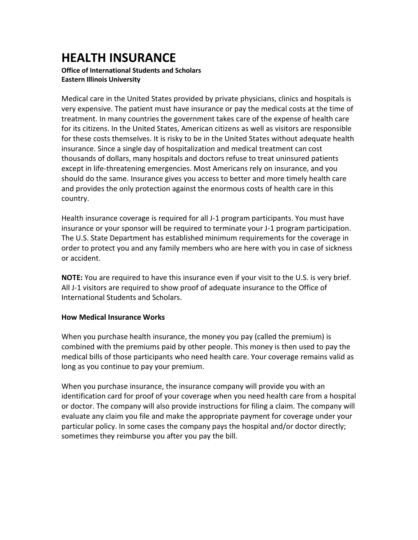## **HEALTH INSURANCE**

## **Office of International Students and Scholars Eastern Illinois University**

Medical care in the United States provided by private physicians, clinics and hospitals is very expensive. The patient must have insurance or pay the medical costs at the time of treatment. In many countries the government takes care of the expense of health care for its citizens. In the United States, American citizens as well as visitors are responsible for these costs themselves. It is risky to be in the United States without adequate health insurance. Since a single day of hospitalization and medical treatment can cost thousands of dollars, many hospitals and doctors refuse to treat uninsured patients except in life-threatening emergencies. Most Americans rely on insurance, and you should do the same. Insurance gives you access to better and more timely health care and provides the only protection against the enormous costs of health care in this country.

Health insurance coverage is required for all J-1 program participants. You must have insurance or your sponsor will be required to terminate your J-1 program participation. The U.S. State Department has established minimum requirements for the coverage in order to protect you and any family members who are here with you in case of sickness or accident.

**NOTE:** You are required to have this insurance even if your visit to the U.S. is very brief. All J-1 visitors are required to show proof of adequate insurance to the Office of International Students and Scholars.

## **How Medical Insurance Works**

When you purchase health insurance, the money you pay (called the premium) is combined with the premiums paid by other people. This money is then used to pay the medical bills of those participants who need health care. Your coverage remains valid as long as you continue to pay your premium.

When you purchase insurance, the insurance company will provide you with an identification card for proof of your coverage when you need health care from a hospital or doctor. The company will also provide instructions for filing a claim. The company will evaluate any claim you file and make the appropriate payment for coverage under your particular policy. In some cases the company pays the hospital and/or doctor directly; sometimes they reimburse you after you pay the bill.